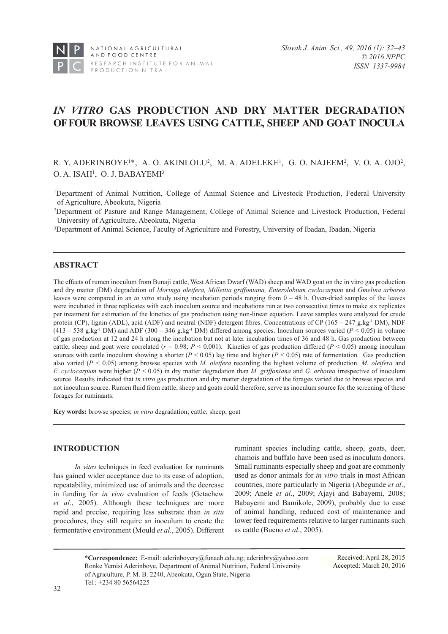

# *IN VITRO* **GAS PRODUCTION AND DRY MATTER DEGRADATION OF FOUR BROWSE LEAVES USING CATTLE, SHEEP AND GOAT INOCULA**

# R. Y. ADERINBOYE<sup>1\*</sup>, A. O. AKINLOLU<sup>2</sup>, M. A. ADELEKE<sup>1</sup>, G. O. NAJEEM<sup>2</sup>, V. O. A. OJO<sup>2</sup>, O. A. ISAH<sup>1</sup>, O. J. BABAYEMI<sup>3</sup>

1 Department of Animal Nutrition, College of Animal Science and Livestock Production, Federal University of Agriculture, Abeokuta, Nigeria

2 Department of Pasture and Range Management, College of Animal Science and Livestock Production, Federal University of Agriculture, Abeokuta, Nigeria

3 Department of Animal Science, Faculty of Agriculture and Forestry, University of Ibadan, Ibadan, Nigeria

# **ABSTRACT**

The effects of rumen inoculum from Bunaji cattle, West African Dwarf (WAD) sheep and WAD goat on the in vitro gas production and dry matter (DM) degradation of *Moringa oleifera, Millettia griffoniana, Enterolobium cyclocarpum* and *Gmelina arborea* leaves were compared in an *in vitro* study using incubation periods ranging from 0 – 48 h. Oven-dried samples of the leaves were incubated in three replicates with each inoculum source and incubations run at two consecutive times to make six replicates per treatment for estimation of the kinetics of gas production using non-linear equation. Leave samples were analyzed for crude protein (CP), lignin (ADL), acid (ADF) and neutral (NDF) detergent fibres. Concentrations of CP (165 – 247 g.kg<sup>-1</sup> DM), NDF  $(413 - 538 \text{ g} \cdot \text{kg}^{-1} \text{ DM})$  and ADF  $(300 - 346 \text{ g} \cdot \text{kg}^{-1} \text{ DM})$  differed among species. Inoculum sources varied  $(P < 0.05)$  in volume of gas production at 12 and 24 h along the incubation but not at later incubation times of 36 and 48 h. Gas production between cattle, sheep and goat were correlated  $(r = 0.98; P < 0.001)$ . Kinetics of gas production differed  $(P < 0.05)$  among inoculum sources with cattle inoculum showing a shorter  $(P < 0.05)$  lag time and higher  $(P < 0.05)$  rate of fermentation. Gas production also varied (*P* < 0.05) among browse species with *M. oleifera* recording the highest volume of production. *M. oleifera* and *E. cyclocarpum* were higher (*P* < 0.05) in dry matter degradation than *M. griffoniana* and *G. arborea* irrespective of inoculum source. Results indicated that *in vitro* gas production and dry matter degradation of the forages varied due to browse species and not inoculum source. Rumen fluid from cattle, sheep and goats could therefore, serve as inoculum source for the screening of these forages for ruminants.

**Key words:** browse species; *in vitro* degradation; cattle; sheep; goat

# **INTRODUCTION**

*In vitro* techniques in feed evaluation for ruminants has gained wider acceptance due to its ease of adoption, repeatability, minimized use of animals and the decrease in funding for *in vivo* evaluation of feeds (Getachew et al., 2005). Although these techniques are more rapid and precise, requiring less substrate than *in situ* procedures, they still require an inoculum to create the fermentative environment (Mould *et al.*, 2005). Different ruminant species including cattle, sheep, goats, deer, chamois and buffalo have been used as inoculum donors. Small ruminants especially sheep and goat are commonly used as donor animals for *in vitro* trials in most African countries, more particularly in Nigeria (Abegunde *et al*., 2009; Anele *et al*., 2009; Ajayi and Babayemi, 2008; Babayemi and Bamikole, 2009), probably due to ease of animal handling, reduced cost of maintenance and lower feed requirements relative to larger ruminants such as cattle (Bueno *et al*., 2005).

**\*Correspondence:** E-mail: aderinboyery@funaab.edu.ng; aderinbry@yahoo.com Ronke Yemisi Aderinboye, Department of Animal Nutrition, Federal University of Agriculture, P. M. B. 2240, Abeokuta, Ogun State, Nigeria Tel.: +234 80 56564225

Received: April 28, 2015 Accepted: March 20, 2016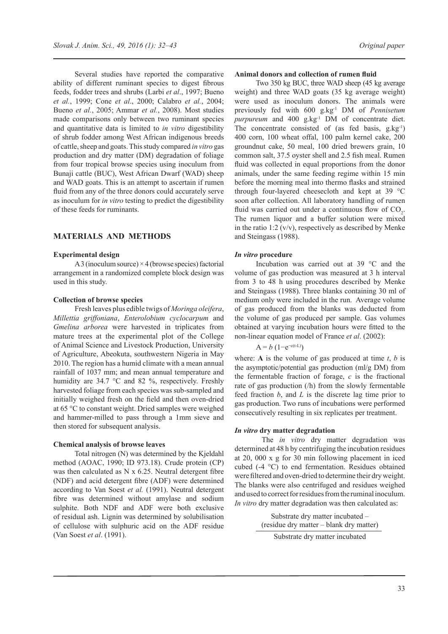Several studies have reported the comparative ability of different ruminant species to digest fibrous feeds, fodder trees and shrubs (Larbi *et al*., 1997; Bueno *et al.*, 1999; Cone *et al*., 2000; Calabro *et al.*, 2004; Bueno *et al.*, 2005; Ammar *et al.*, 2008). Most studies made comparisons only between two ruminant species and quantitative data is limited to *in vitro* digestibility of shrub fodder among West African indigenous breeds of cattle, sheep and goats. This study compared *in vitro* gas production and dry matter (DM) degradation of foliage from four tropical browse species using inoculum from Bunaji cattle (BUC), West African Dwarf (WAD) sheep and WAD goats. This is an attempt to ascertain if rumen fluid from any of the three donors could accurately serve as inoculum for *in vitro* testing to predict the digestibility of these feeds for ruminants.

# **MATERIALS AND METHODS**

### **Experimental design**

A 3 (inoculum source)  $\times$  4 (browse species) factorial arrangement in a randomized complete block design was used in this study.

# **Collection of browse species**

Fresh leaves plus edible twigs of *Moringa oleifera*, *Millettia griffoniana*, *Enterolobium cyclocarpum* and *Gmelina arborea* were harvested in triplicates from mature trees at the experimental plot of the College of Animal Science and Livestock Production, University of Agriculture, Abeokuta, southwestern Nigeria in May 2010. The region has a humid climate with a mean annual rainfall of 1037 mm; and mean annual temperature and humidity are 34.7 °C and 82 %, respectively. Freshly harvested foliage from each species was sub-sampled and initially weighed fresh on the field and then oven-dried at 65 °C to constant weight. Dried samples were weighed and hammer-milled to pass through a 1mm sieve and then stored for subsequent analysis.

### **Chemical analysis of browse leaves**

Total nitrogen (N) was determined by the Kjeldahl method (AOAC, 1990; ID 973.18). Crude protein (CP) was then calculated as N x 6.25. Neutral detergent fibre (NDF) and acid detergent fibre (ADF) were determined according to Van Soest *et al.* (1991). Neutral detergent fibre was determined without amylase and sodium sulphite. Both NDF and ADF were both exclusive of residual ash. Lignin was determined by solubilisation of cellulose with sulphuric acid on the ADF residue (Van Soest *et al*. (1991).

### **Animal donors and collection of rumen fluid**

Two 350 kg BUC, three WAD sheep (45 kg average weight) and three WAD goats (35 kg average weight) were used as inoculum donors. The animals were previously fed with 600 g.kg-1 DM of *Pennisetum*  purpureum and 400 g.kg<sup>-1</sup> DM of concentrate diet. The concentrate consisted of (as fed basis,  $g_k g^{-1}$ ) 400 corn, 100 wheat offal, 100 palm kernel cake, 200 groundnut cake, 50 meal, 100 dried brewers grain, 10 common salt, 37.5 oyster shell and 2.5 fish meal. Rumen fluid was collected in equal proportions from the donor animals, under the same feeding regime within 15 min before the morning meal into thermo flasks and strained through four-layered cheesecloth and kept at 39 °C soon after collection. All laboratory handling of rumen fluid was carried out under a continuous flow of  $CO<sub>2</sub>$ . The rumen liquor and a buffer solution were mixed in the ratio 1:2  $(v/v)$ , respectively as described by Menke and Steingass (1988).

### *In vitro* **procedure**

Incubation was carried out at 39 °C and the volume of gas production was measured at 3 h interval from 3 to 48 h using procedures described by Menke and Steingass (1988). Three blanks containing 30 ml of medium only were included in the run. Average volume of gas produced from the blanks was deducted from the volume of gas produced per sample. Gas volumes obtained at varying incubation hours were fitted to the non-linear equation model of France *et al*. (2002):

$$
A = b \left( 1 - e^{-c(t-L)} \right)
$$

where: **A** is the volume of gas produced at time *t*, *b* is the asymptotic/potential gas production (ml/g DM) from the fermentable fraction of forage, *c* is the fractional rate of gas production (/h) from the slowly fermentable feed fraction *b*, and *L* is the discrete lag time prior to gas production. Two runs of incubations were performed consecutively resulting in six replicates per treatment.

#### *In vitro* **dry matter degradation**

 The *in vitro* dry matter degradation was determined at 48 h by centrifuging the incubation residues at 20, 000 x g for 30 min following placement in iced cubed (-4 °C) to end fermentation. Residues obtained were filtered and oven-dried to determine their dry weight. The blanks were also centrifuged and residues weighed and used to correct for residues from the ruminal inoculum. *In vitro* dry matter degradation was then calculated as:

> Substrate dry matter incubated – (residue dry matter – blank dry matter)

Substrate dry matter incubated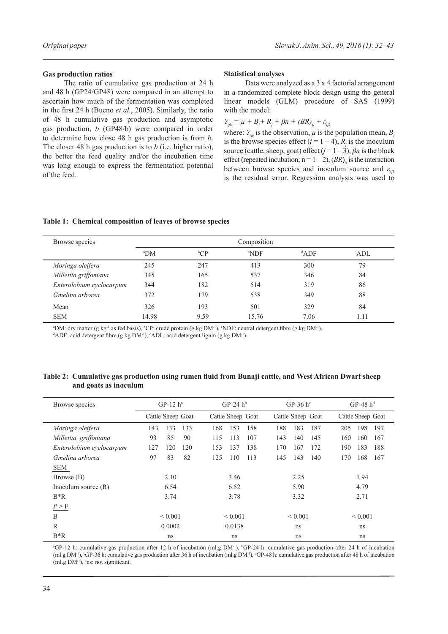### **Gas production ratios**

The ratio of cumulative gas production at 24 h and 48 h (GP24/GP48) were compared in an attempt to ascertain how much of the fermentation was completed in the first 24 h (Bueno *et al.*, 2005). Similarly, the ratio of 48 h cumulative gas production and asymptotic gas production, *b* (GP48/b) were compared in order to determine how close 48 h gas production is from *b*. The closer 48 h gas production is to *b* (i.e. higher ratio), the better the feed quality and/or the incubation time was long enough to express the fermentation potential of the feed.

#### **Statistical analyses**

Data were analyzed as a 3 x 4 factorial arrangement in a randomized complete block design using the general linear models (GLM) procedure of SAS (1999) with the model:

 $Y_{ijk} = \mu + B_i + R_j + \beta n + (BR)_{ij} + \varepsilon_{ijk}$ 

where:  $Y_{ik}$  is the observation,  $\mu$  is the population mean,  $B_i$ is the browse species effect  $(i = 1 - 4)$ ,  $R_j$  is the inoculum source (cattle, sheep, goat) effect  $(j = 1 - 3)$ ,  $\beta n$  is the block effect (repeated incubation;  $n = 1 - 2$ ),  $(BR)_{ij}$  is the interaction between browse species and inoculum source and  $\varepsilon_{ik}$ is the residual error. Regression analysis was used to

|  |  | Table 1: Chemical composition of leaves of browse species |  |  |  |
|--|--|-----------------------------------------------------------|--|--|--|
|--|--|-----------------------------------------------------------|--|--|--|

| Browse species           | Composition   |                |                  |         |                |
|--------------------------|---------------|----------------|------------------|---------|----------------|
|                          | $^{\circ}$ DM | ${}^{\rm b}CP$ | <sup>c</sup> NDF | $d$ ADF | $^{\circ}$ ADL |
| Moringa oleifera         | 245           | 247            | 413              | 300     | 79             |
| Millettia griffoniana    | 345           | 165            | 537              | 346     | 84             |
| Enterolobium cyclocarpum | 344           | 182            | 514              | 319     | 86             |
| Gmelina arborea          | 372           | 179            | 538              | 349     | 88             |
| Mean                     | 326           | 193            | 501              | 329     | 84             |
| <b>SEM</b>               | 14.98         | 9.59           | 15.76            | 7.06    | 1.11           |

<sup>a</sup>DM: dry matter (g.kg<sup>-1</sup> as fed basis), <sup>b</sup>CP: crude protein (g.kg DM<sup>-1</sup>), <sup>o</sup>NDF: neutral detergent fibre (g.kg DM<sup>-1</sup>),

<sup>d</sup>ADF: acid detergent fibre (g.kg DM<sup>-1</sup>), <sup>e</sup>ADL: acid detergent lignin (g.kg DM<sup>-1</sup>).

| Browse species           | $GP-12$ $h^a$     | $GP-24$ $h^b$     | GP-36 $h^c$       | $GP-48$ $h^d$     |
|--------------------------|-------------------|-------------------|-------------------|-------------------|
|                          | Cattle Sheep Goat | Cattle Sheep Goat | Cattle Sheep Goat | Cattle Sheep Goat |
| Moringa oleifera         | 133<br>133<br>143 | 168<br>153<br>158 | 188<br>183<br>187 | 198<br>197<br>205 |
| Millettia griffoniana    | 90<br>93<br>85    | 115<br>113<br>107 | 143<br>140<br>145 | 160<br>160<br>167 |
| Enterolobium cyclocarpum | 127<br>120<br>120 | 137<br>138<br>153 | 170<br>167<br>172 | 190<br>183<br>188 |
| Gmelina arborea          | 82<br>83<br>97    | 125<br>110<br>113 | 145<br>143<br>140 | 168<br>170<br>167 |
| <b>SEM</b>               |                   |                   |                   |                   |
| Browse (B)               | 2.10              | 3.46              | 2.25              | 1.94              |
| Inoculum source $(R)$    | 6.54              | 6.52              | 5.90              | 4.79              |
| $B^*R$                   | 3.74              | 3.78              | 3.32              | 2.71              |
| P > F                    |                   |                   |                   |                   |
| B                        | < 0.001           | ${}_{0.001}$      | ${}_{0.001}$      | ${}_{0.001}$      |
| R                        | 0.0002            | 0.0138            | ns                | ns                |
| $B^*R$                   | ns                | ns                | ns                | <sub>ns</sub>     |

**Table 2: Cumulative gas production using rumen fluid from Bunaji cattle, and West African Dwarf sheep and goats as inoculum**

<sup>a</sup>GP-12 h: cumulative gas production after 12 h of incubation (ml.g DM<sup>-1</sup>), <sup>b</sup>GP-24 h: cumulative gas production after 24 h of incubation (ml.g DM<sup>-1</sup>), <sup>c</sup>GP-36 h: cumulative gas production after 36 h of incubation (ml.g DM<sup>-1</sup>), <sup>d</sup>GP-48 h: cumulative gas production after 48 h of incubation  $(ml.g DM<sup>-1</sup>)$ ,  $e$ ns: not significant.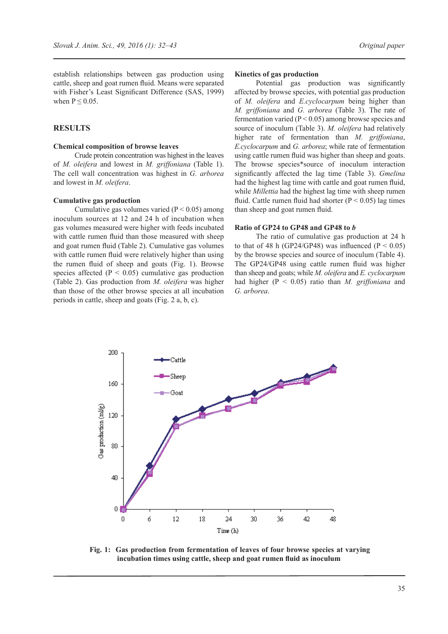establish relationships between gas production using cattle, sheep and goat rumen fluid. Means were separated with Fisher's Least Significant Difference (SAS, 1999) when  $P \leq 0.05$ .

# **RESULTS**

#### **Chemical composition of browse leaves**

Crude protein concentration was highest in the leaves of *M. oleifera* and lowest in *M. griffoniana* (Table 1). The cell wall concentration was highest in *G. arborea*  and lowest in *M. oleifera*.

#### **Cumulative gas production**

Cumulative gas volumes varied ( $P < 0.05$ ) among inoculum sources at 12 and 24 h of incubation when gas volumes measured were higher with feeds incubated with cattle rumen fluid than those measured with sheep and goat rumen fluid (Table 2). Cumulative gas volumes with cattle rumen fluid were relatively higher than using the rumen fluid of sheep and goats (Fig. 1). Browse species affected ( $P < 0.05$ ) cumulative gas production (Table 2). Gas production from *M. oleifera* was higher than those of the other browse species at all incubation periods in cattle, sheep and goats (Fig. 2 a, b, c).

### **Kinetics of gas production**

Potential gas production was significantly affected by browse species, with potential gas production of *M. oleifera* and *E.cyclocarpum* being higher than *M. griffoniana* and *G. arborea* (Table 3). The rate of fermentation varied ( $P < 0.05$ ) among browse species and source of inoculum (Table 3). *M. oleifera* had relatively higher rate of fermentation than *M. griffoniana*, *E.cyclocarpum* and *G. arborea*; while rate of fermentation using cattle rumen fluid was higher than sheep and goats. The browse species\*source of inoculum interaction significantly affected the lag time (Table 3). *Gmelina*  had the highest lag time with cattle and goat rumen fluid, while *Millettia* had the highest lag time with sheep rumen fluid. Cattle rumen fluid had shorter ( $P < 0.05$ ) lag times than sheep and goat rumen fluid.

#### **Ratio of GP24 to GP48 and GP48 to** *b*

The ratio of cumulative gas production at 24 h to that of 48 h (GP24/GP48) was influenced ( $P < 0.05$ ) by the browse species and source of inoculum (Table 4). The GP24/GP48 using cattle rumen fluid was higher than sheep and goats; while *M. oleifera* and *E. cyclocarpum*  had higher (P < 0.05) ratio than *M. griffoniana* and *G. arborea*.



**Fig. 1: Gas production from fermentation of leaves of four browse species at varying incubation times using cattle, sheep and goat rumen fluid as inoculum**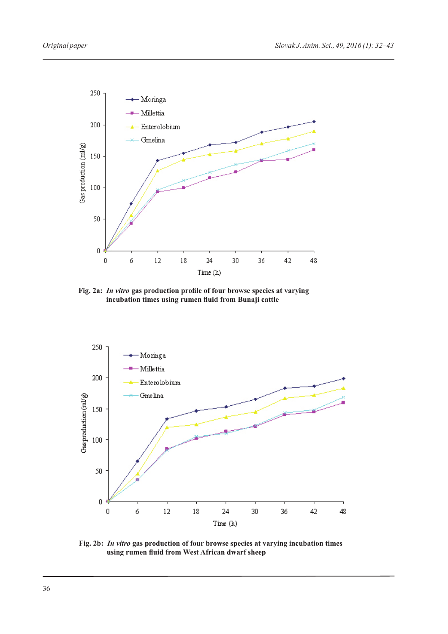

**Fig. 2a:** *In vitro* **gas production profile of four browse species at varying incubation times using rumen fluid from Bunaji cattle** 



**Fig. 2b:** *In vitro* **gas production of four browse species at varying incubation times using rumen fluid from West African dwarf sheep**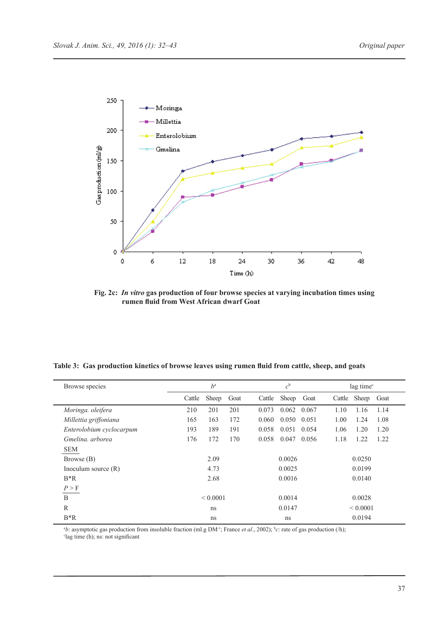

**Fig. 2c:** *In vitro* **gas production of four browse species at varying incubation times using rumen fluid from West African dwarf Goat**

|  |  | Table 3: Gas production kinetics of browse leaves using rumen fluid from cattle, sheep, and goats |
|--|--|---------------------------------------------------------------------------------------------------|
|  |  |                                                                                                   |

| Browse species           | $h^a$  |               |      | $c^{\rm b}$ |        |       | lag time <sup>c</sup> |               |      |
|--------------------------|--------|---------------|------|-------------|--------|-------|-----------------------|---------------|------|
|                          | Cattle | Sheep         | Goat | Cattle      | Sheep  | Goat  | Cattle                | Sheep         | Goat |
| Moringa. oleifera        | 210    | 201           | 201  | 0.073       | 0.062  | 0.067 | 1.10                  | 1.16          | 1.14 |
| Millettia griffoniana    | 165    | 163           | 172  | 0.060       | 0.050  | 0.051 | 1.00                  | 1.24          | 1.08 |
| Enterolobium cyclocarpum | 193    | 189           | 191  | 0.058       | 0.051  | 0.054 | 1.06                  | 1.20          | 1.20 |
| Gmelina, arborea         | 176    | 172           | 170  | 0.058       | 0.047  | 0.056 | 1.18                  | 1.22          | 1.22 |
| <b>SEM</b>               |        |               |      |             |        |       |                       |               |      |
| Browse (B)               |        | 2.09          |      |             | 0.0026 |       |                       | 0.0250        |      |
| Inoculum source $(R)$    |        | 4.73          |      |             | 0.0025 |       |                       | 0.0199        |      |
| $B^*R$                   |        | 2.68          |      |             | 0.0016 |       |                       | 0.0140        |      |
| P > F                    |        |               |      |             |        |       |                       |               |      |
| B                        |        | ${}_{0.0001}$ |      |             | 0.0014 |       |                       | 0.0028        |      |
| R                        |        | ns            |      |             | 0.0147 |       |                       | ${}_{0.0001}$ |      |
| $B^*R$                   |        | ns            |      |             | ns     |       |                       | 0.0194        |      |

<sup>3</sup>b: asymptotic gas production from insoluble fraction (ml.g DM<sup>-1</sup>; France *et al.*, 2002); <sup>b</sup>c: rate of gas production (/h); c lag time (h); ns: not significant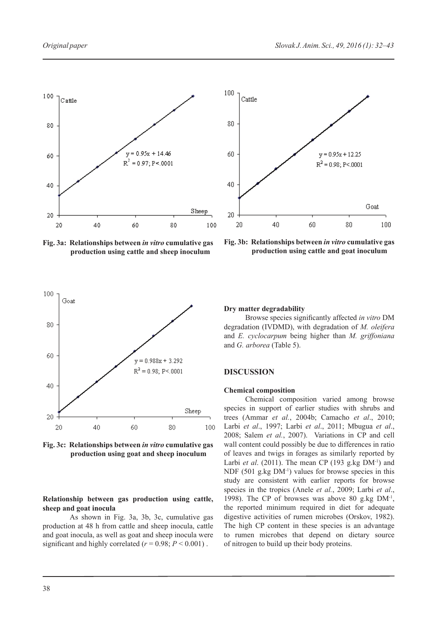

**Fig. 3a: Relationships between** *in vitro* **cumulative gas production using cattle and sheep inoculum** 



**Fig. 3b: Relationships between** *in vitro* **cumulative gas production using cattle and goat inoculum** 



**Fig. 3c: Relationships between** *in vitro* **cumulative gas production using goat and sheep inoculum**

# **Relationship between gas production using cattle, sheep and goat inocula**

As shown in Fig. 3a, 3b, 3c, cumulative gas production at 48 h from cattle and sheep inocula, cattle and goat inocula, as well as goat and sheep inocula were significant and highly correlated ( $r = 0.98$ ;  $P < 0.001$ ).

### **Dry matter degradability**

Browse species significantly affected *in vitro* DM degradation (IVDMD), with degradation of *M. oleifera* and *E. cyclocarpum* being higher than *M. griffoniana* and *G. arborea* (Table 5).

### **DISCUSSION**

### **Chemical composition**

Chemical composition varied among browse species in support of earlier studies with shrubs and trees (Ammar *et al.*, 2004b; Camacho *et al*., 2010; Larbi *et al*., 1997; Larbi *et al*., 2011; Mbugua *et al*., 2008; Salem *et al.*, 2007). Variations in CP and cell wall content could possibly be due to differences in ratio of leaves and twigs in forages as similarly reported by Larbi *et al.* (2011). The mean CP (193 g.kg DM<sup>-1</sup>) and NDF  $(501 \text{ g/kg} \text{ DM}^{-1})$  values for browse species in this study are consistent with earlier reports for browse species in the tropics (Anele *et al.*, 2009; Larbi *et al*., 1998). The CP of browses was above 80 g.kg  $DM^{-1}$ , the reported minimum required in diet for adequate digestive activities of rumen microbes (Orskov, 1982). The high CP content in these species is an advantage to rumen microbes that depend on dietary source of nitrogen to build up their body proteins.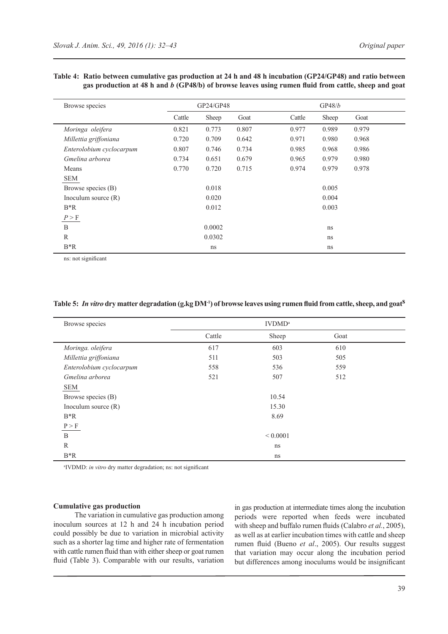| Browse species           |        | GP24/GP48 |       |        | GP48/b        |       |  |
|--------------------------|--------|-----------|-------|--------|---------------|-------|--|
|                          | Cattle | Sheep     | Goat  | Cattle | Sheep         | Goat  |  |
| Moringa oleifera         | 0.821  | 0.773     | 0.807 | 0.977  | 0.989         | 0.979 |  |
| Millettia griffoniana    | 0.720  | 0.709     | 0.642 | 0.971  | 0.980         | 0.968 |  |
| Enterolobium cyclocarpum | 0.807  | 0.746     | 0.734 | 0.985  | 0.968         | 0.986 |  |
| Gmelina arborea          | 0.734  | 0.651     | 0.679 | 0.965  | 0.979         | 0.980 |  |
| Means                    | 0.770  | 0.720     | 0.715 | 0.974  | 0.979         | 0.978 |  |
| <b>SEM</b>               |        |           |       |        |               |       |  |
| Browse species (B)       |        | 0.018     |       |        | 0.005         |       |  |
| Inoculum source $(R)$    |        | 0.020     |       |        | 0.004         |       |  |
| $B^*R$                   |        | 0.012     |       |        | 0.003         |       |  |
| P > F                    |        |           |       |        |               |       |  |
| B                        |        | 0.0002    |       |        | ns            |       |  |
| $\mathbb{R}$             |        | 0.0302    |       |        | <sub>ns</sub> |       |  |
| $B^*R$                   |        | ns        |       |        | ns            |       |  |

# **Table 4: Ratio between cumulative gas production at 24 h and 48 h incubation (GP24/GP48) and ratio between gas production at 48 h and** *b* **(GP48/b) of browse leaves using rumen fluid from cattle, sheep and goat**

ns: not significant

### **Table 5:** *In vitro* **dry matter degradation (g.kg DM-1) of browse leaves using rumen fluid from cattle, sheep, and goats**

| Browse species           |        |              |      |  |
|--------------------------|--------|--------------|------|--|
|                          | Cattle | Sheep        | Goat |  |
| Moringa. oleifera        | 617    | 603          | 610  |  |
| Millettia griffoniana    | 511    | 503          | 505  |  |
| Enterolobium cyclocarpum | 558    | 536          | 559  |  |
| Gmelina arborea          | 521    | 507          | 512  |  |
| SEM                      |        |              |      |  |
| Browse species (B)       |        | 10.54        |      |  |
| Inoculum source $(R)$    |        | 15.30        |      |  |
| $B^*R$                   |        | 8.69         |      |  |
| P > F                    |        |              |      |  |
| B                        |        | ${}< 0.0001$ |      |  |
| R                        |        | ns           |      |  |
| $B^*R$                   |        | ns           |      |  |

a IVDMD: *in vitro* dry matter degradation; ns: not significant

### **Cumulative gas production**

The variation in cumulative gas production among inoculum sources at 12 h and 24 h incubation period could possibly be due to variation in microbial activity such as a shorter lag time and higher rate of fermentation with cattle rumen fluid than with either sheep or goat rumen fluid (Table 3). Comparable with our results, variation

in gas production at intermediate times along the incubation periods were reported when feeds were incubated with sheep and buffalo rumen fluids (Calabro *et al.*, 2005), as well as at earlier incubation times with cattle and sheep rumen fluid (Bueno *et al*., 2005). Our results suggest that variation may occur along the incubation period but differences among inoculums would be insignificant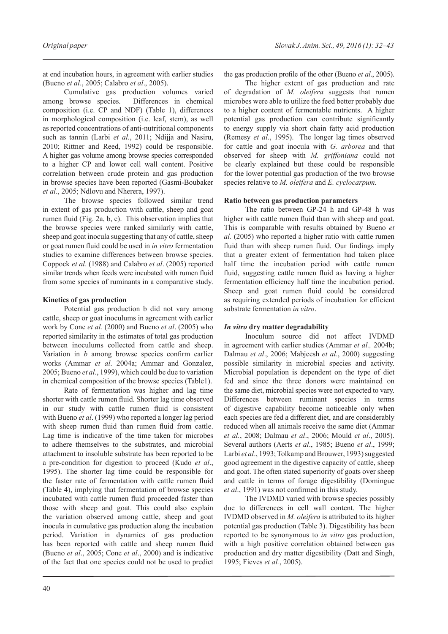at end incubation hours, in agreement with earlier studies (Bueno *et al*., 2005; Calabro *et al*., 2005).

Cumulative gas production volumes varied among browse species. Differences in chemical composition (i.e. CP and NDF) (Table 1), differences in morphological composition (i.e. leaf, stem), as well as reported concentrations of anti-nutritional components such as tannin (Larbi *et al.*, 2011; Ndijja and Nasiru, 2010; Rittner and Reed, 1992) could be responsible. A higher gas volume among browse species corresponded to a higher CP and lower cell wall content. Positive correlation between crude protein and gas production in browse species have been reported (Gasmi-Boubaker *et al*., 2005; Ndlovu and Nherera, 1997).

The browse species followed similar trend in extent of gas production with cattle, sheep and goat rumen fluid (Fig. 2a, b, c). This observation implies that the browse species were ranked similarly with cattle, sheep and goat inocula suggesting that any of cattle, sheep or goat rumen fluid could be used in *in vitro* fermentation studies to examine differences between browse species. Coppock *et al*. (1988) and Calabro *et al*. (2005) reported similar trends when feeds were incubated with rumen fluid from some species of ruminants in a comparative study.

# **Kinetics of gas production**

Potential gas production b did not vary among cattle, sheep or goat inoculums in agreement with earlier work by Cone *et al.* (2000) and Bueno *et al*. (2005) who reported similarity in the estimates of total gas production between inoculums collected from cattle and sheep. Variation in *b* among browse species confirm earlier works (Ammar *et al*. 2004a; Ammar and Gonzalez, 2005; Bueno *et al*., 1999), which could be due to variation in chemical composition of the browse species (Table1).

Rate of fermentation was higher and lag time shorter with cattle rumen fluid. Shorter lag time observed in our study with cattle rumen fluid is consistent with Bueno *et al*. (1999) who reported a longer lag period with sheep rumen fluid than rumen fluid from cattle. Lag time is indicative of the time taken for microbes to adhere themselves to the substrates, and microbial attachment to insoluble substrate has been reported to be a pre-condition for digestion to proceed (Kudo *et al*., 1995). The shorter lag time could be responsible for the faster rate of fermentation with cattle rumen fluid (Table 4), implying that fermentation of browse species incubated with cattle rumen fluid proceeded faster than those with sheep and goat. This could also explain the variation observed among cattle, sheep and goat inocula in cumulative gas production along the incubation period. Variation in dynamics of gas production has been reported with cattle and sheep rumen fluid (Bueno *et al*., 2005; Cone *et al*., 2000) and is indicative of the fact that one species could not be used to predict

the gas production profile of the other (Bueno *et al*., 2005).

The higher extent of gas production and rate of degradation of *M. oleifera* suggests that rumen microbes were able to utilize the feed better probably due to a higher content of fermentable nutrients. A higher potential gas production can contribute significantly to energy supply via short chain fatty acid production (Remesy *et al*., 1995). The longer lag times observed for cattle and goat inocula with *G. arborea* and that observed for sheep with *M. griffoniana* could not be clearly explained but these could be responsible for the lower potential gas production of the two browse species relative to *M. oleifera* and *E. cyclocarpum.*

### **Ratio between gas production parameters**

The ratio between GP-24 h and GP-48 h was higher with cattle rumen fluid than with sheep and goat. This is comparable with results obtained by Bueno *et al.* (2005) who reported a higher ratio with cattle rumen fluid than with sheep rumen fluid. Our findings imply that a greater extent of fermentation had taken place half time the incubation period with cattle rumen fluid, suggesting cattle rumen fluid as having a higher fermentation efficiency half time the incubation period. Sheep and goat rumen fluid could be considered as requiring extended periods of incubation for efficient substrate fermentation *in vitro*.

#### *In vitro* **dry matter degradability**

Inoculum source did not affect IVDMD in agreement with earlier studies (Ammar *et al.,* 2004b; Dalmau *et al*., 2006; Mabjeesh *et al.*, 2000) suggesting possible similarity in microbial species and activity. Microbial population is dependent on the type of diet fed and since the three donors were maintained on the same diet, microbial species were not expected to vary. Differences between ruminant species in terms of digestive capability become noticeable only when each species are fed a different diet, and are considerably reduced when all animals receive the same diet (Ammar *et al.*, 2008; Dalmau *et al*., 2006; Mould *et al*., 2005). Several authors (Aerts *et al*., 1985; Bueno *et al*., 1999; Larbi *et al*., 1993; Tolkamp and Brouwer, 1993) suggested good agreement in the digestive capacity of cattle, sheep and goat. The often stated superiority of goats over sheep and cattle in terms of forage digestibility (Domingue *et al*., 1991) was not confirmed in this study.

The IVDMD varied with browse species possibly due to differences in cell wall content. The higher IVDMD observed in *M. oleifera* is attributed to its higher potential gas production (Table 3). Digestibility has been reported to be synonymous to *in vitro* gas production, with a high positive correlation obtained between gas production and dry matter digestibility (Datt and Singh, 1995; Fieves *et al.*, 2005).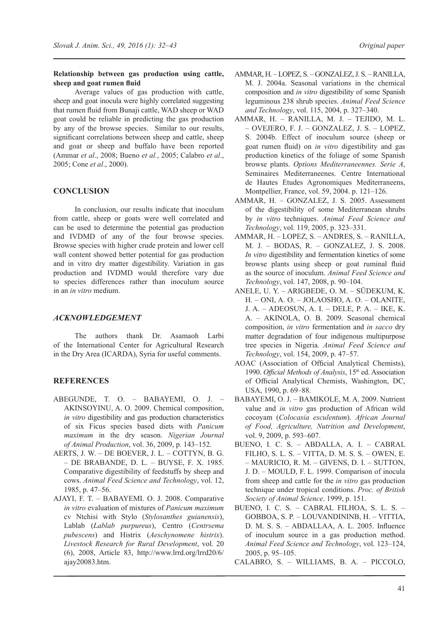# **Relationship between gas production using cattle, sheep and goat rumen fluid**

Average values of gas production with cattle, sheep and goat inocula were highly correlated suggesting that rumen fluid from Bunaji cattle, WAD sheep or WAD goat could be reliable in predicting the gas production by any of the browse species. Similar to our results, significant correlations between sheep and cattle, sheep and goat or sheep and buffalo have been reported (Ammar *et al*., 2008; Bueno *et al.*, 2005; Calabro *et al*., 2005; Cone *et al*., 2000).

# **CONCLUSION**

In conclusion, our results indicate that inoculum from cattle, sheep or goats were well correlated and can be used to determine the potential gas production and IVDMD of any of the four browse species. Browse species with higher crude protein and lower cell wall content showed better potential for gas production and in vitro dry matter digestibility. Variation in gas production and IVDMD would therefore vary due to species differences rather than inoculum source in an *in vitro* medium.

# *ACKNOWLEDGEMENT*

The authors thank Dr. Asamaoh Larbi of the International Center for Agricultural Research in the Dry Area (ICARDA), Syria for useful comments.

# **REFERENCES**

- Abegunde, T. O. Babayemi, O. J. Akinsoyinu, A. O. 2009. Chemical composition, *in vitro* digestibility and gas production characteristics of six Ficus species based diets with *Panicum maximum* in the dry season. *Nigerian Journal of Animal Production*, vol. 36, 2009, p. 143–152.
- AERTS, J. W. DE BOEVER, J. L. COTTYN, B. G. – de Brabande, D. L. – Buyse, F. X. 1985. Comparative digestibility of feedstuffs by sheep and cows. *Animal Feed Science and Technology*, vol. 12, 1985, p. 47–56.
- Ajayi, F. T. Babayemi. O. J. 2008. Comparative *in vitro* evaluation of mixtures of *Panicum maximum* cv Ntchisi with Stylo (*Stylosanthes guianensis*), Lablab (*Lablab purpureus*), Centro (*Centrsema pubescens*) and Histrix (*Aeschynomene histrix*). *Livestock Research for Rural Development*, vol. 20 (6), 2008, Article 83, http://www.lrrd.org/lrrd20/6/ ajay20083.htm.
- Ammar, H. Lopez, S. Gonzalez, J. S. Ranilla, M. J. 2004a. Seasonal variations in the chemical composition and *in vitro* digestibility of some Spanish leguminous 238 shrub species. *Animal Feed Science and Technology*, vol. 115, 2004, p. 327–340.
- Ammar, H. Ranilla, M. J. Tejido, M. L. – Ovejero, F. J. – Gonzalez, J. S. – Lopez, S. 2004b. Effect of inoculum source (sheep or goat rumen fluid) on *in vitro* digestibility and gas production kinetics of the foliage of some Spanish browse plants. *Options Mediterraneennes. Serie A*, Seminaires Mediterraneenes. Centre International de Hautes Etudes Agronomiques Mediterraneens, Montpellier, France, vol. 59, 2004. p. 121–126.
- Ammar, H. Gonzalez, J. S. 2005. Assessment of the digestibility of some Mediterranean shrubs by *in vitro* techniques. *Animal Feed Science and Technology*, vol. 119, 2005, p. 323–331.
- Ammar, H. Lopez, S. Andres, S. Ranilla, M. J. – Bodas, R. – Gonzalez, J. S. 2008. *In vitro* digestibility and fermentation kinetics of some browse plants using sheep or goat ruminal fluid as the source of inoculum. *Animal Feed Science and Technology*, vol. 147, 2008, p. 90–104.
- Anele, U. Y. Arigbede, O. M. Südekum, K. H. – Oni, A. O. – Jolaosho, A. O. – Olanite, J. A. – Adeosun, A. I. – Dele, P. A. – Ike, K. A. – AKINOLA, O. B. 2009. Seasonal chemical composition, *in vitro* fermentation and *in sacco* dry matter degradation of four indigenous multipurpose tree species in Nigeria. *Animal Feed Science and Technology*, vol. 154, 2009, p. 47–57.
- AOAC (Association of Official Analytical Chemists), 1990. *Official Methods of Analysis*, 15<sup>th</sup> ed. Association of Official Analytical Chemists, Washington, DC, USA, 1990, p. 69–88.
- Babayemi, O. J. Bamikole, M. A. 2009. Nutrient value and *in vitro* gas production of African wild cocoyam (*Colocasia esculentum*). *African Journal of Food, Agriculture, Nutrition and Development*, vol. 9, 2009, p. 593–607.
- Bueno, I. C. S. Abdalla, A. I. Cabral Filho, S. L. S. – Vitta, D. M. S. S. – Owen, E. – Mauricio, R. M. – Givens, D. I. – Sutton, J. D. - MOULD, F. L. 1999. Comparison of inocula from sheep and cattle for the *in vitro* gas production technique under tropical conditions. *Proc. of British Society of Animal Science*. 1999, p. 151.
- Bueno, I. C. S. Cabral Filhoa, S. L. S. Gobboa, S. P. – Louvandininb, H. – Vittia, D. M. S. S. – ABDALLAA, A. L. 2005. Influence of inoculum source in a gas production method. *Animal Feed Science and Technology*, vol. 123–124, 2005, p. 95–105.
- Calabro, S. Williams, B. A. Piccolo,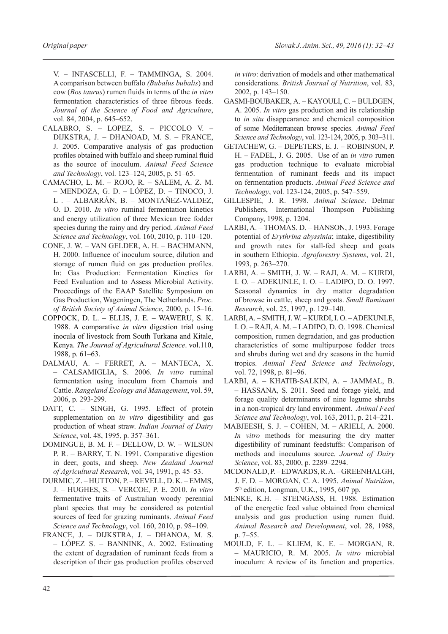V. – Infascelli, F. – Tamminga, S. 2004. A comparison between buffalo *(Bubalus bubalis*) and cow (*Bos taurus*) rumen fluids in terms of the *in vitro* fermentation characteristics of three fibrous feeds. *Journal of the Science of Food and Agriculture*, vol. 84, 2004, p. 645–652.

- Calabro, S. Lopez, S. Piccolo V. Dijkstra, J. – Dhanoad, M. S. – France, J. 2005. Comparative analysis of gas production profiles obtained with buffalo and sheep ruminal fluid as the source of inoculum. *Animal Feed Science and Technology*, vol. 123–124, 2005, p. 51–65.
- Camacho, L. M. Rojo, R. Salem, A. Z. M. – Mendoza, G. D. – López, D. – Tinoco, J. L . – Albarrán, B. – Montañez-Valdez, O. D. 2010. *In vitro* ruminal fermentation kinetics and energy utilization of three Mexican tree fodder species during the rainy and dry period. *Animal Feed Science and Technology*, vol. 160, 2010, p. 110–120.
- Cone, J. W. Van Gelder, A. H. Bachmann, H. 2000. Influence of inoculum source, dilution and storage of rumen fluid on gas production profiles. In: Gas Production: Fermentation Kinetics for Feed Evaluation and to Assess Microbial Activity. Proceedings of the EAAP Satellite Symposium on Gas Production, Wageningen, The Netherlands. *Proc. of British Society of Animal Science*, 2000, p. 15–16.
- Coppock, D. L. Ellis, J. E. Waweru, S. K. 1988. A comparative *in vitro* digestion trial using inocula of livestock from South Turkana and Kitale, Kenya. *The Journal of Agricultural Science*. vol.110, 1988, p. 61–63.
- Dalmau, A. Ferret, A. Manteca, X. – Calsamiglia, S. 2006. *In vitro* ruminal fermentation using inoculum from Chamois and Cattle. *Rangeland Ecology and Management*, vol. 59, 2006, p. 293-299.
- DATT, C. SINGH, G. 1995. Effect of protein supplementation on *in vitro* digestibility and gas production of wheat straw. *Indian Journal of Dairy Science*, vol. 48, 1995, p. 357–361.
- Domingue, B. M. F. Dellow, D. W. Wilson P. R. – BARRY, T. N. 1991. Comparative digestion in deer, goats, and sheep. *New Zealand Journal of Agricultural Research*, vol. 34, 1991, p. 45–53.
- Durmic, Z. Hutton, P. Revell, D. K. Emms, J. – Hughes, S. – Vercoe, P. E. 2010. *In vitro* fermentative traits of Australian woody perennial plant species that may be considered as potential sources of feed for grazing ruminants. *Animal Feed Science and Technology*, vol. 160, 2010, p. 98–109.
- France, J. Dijkstra, J. Dhanoa, M. S. – López S. – Bannink, A. 2002. Estimating the extent of degradation of ruminant feeds from a description of their gas production profiles observed

*in vitro*: derivation of models and other mathematical considerations. *British Journal of Nutrition*, vol. 83, 2002, p. 143–150.

- Gasmi-Boubaker, A. Kayouli, C. Buldgen, A. 2005. *In vitro* gas production and its relationship to *in situ* disappearance and chemical composition of some Mediterranean browse species. *Animal Feed Science and Technology*, vol. 123-124, 2005, p. 303–311.
- Getachew, G. DePeters, E. J. Robinson, P. H. – Fadel, J. G. 2005. Use of an *in vitro* rumen gas production technique to evaluate microbial fermentation of ruminant feeds and its impact on fermentation products. *Animal Feed Science and Technology*, vol. 123-124, 2005, p. 547–559.
- Gillespie, J. R. 1998. *Animal Science*. Delmar Publishers, International Thompson Publishing Company, 1998, p. 1204.
- Larbi, A. Thomas. D. Hanson, J. 1993. Forage potential of *Erythrina abyssinia*; intake, digestibility and growth rates for stall-fed sheep and goats in southern Ethiopia. *Agroforestry Systems*, vol. 21, 1993, p. 263–270.
- Larbi, A. Smith, J. W. Raji, A. M. Kurdi, I. O. – Adekunle, I. O. – Ladipo, D. O. 1997. Seasonal dynamics in dry matter degradation of browse in cattle, sheep and goats. *Small Ruminant Research*, vol. 25, 1997, p. 129–140.
- Larbi, A. Smith, J. W. Kurdi, I. O. Adekunle, I. O. – Raji, A. M. – Ladipo, D. O. 1998. Chemical composition, rumen degradation, and gas production characteristics of some multipurpose fodder trees and shrubs during wet and dry seasons in the humid tropics. *Animal Feed Science and Technology*, vol. 72, 1998, p. 81–96.
- Larbi, A. Khatib-Salkin, A. Jammal, B. – Hassana, S. 2011. Seed and forage yield, and forage quality determinants of nine legume shrubs in a non-tropical dry land environment. *Animal Feed Science and Technology*, vol. 163, 2011, p. 214–221.
- Mabjeesh, S. J. Cohen, M. Arieli, A. 2000. *In vitro* methods for measuring the dry matter digestibility of ruminant feedstuffs: Comparison of methods and inoculums source. *Journal of Dairy Science*, vol. 83, 2000, p. 2289–2294.
- McDonald, P. Edwards, R. A. GreenHalgh, J. F. D. – Morgan, C. A. 1995. *Animal Nutrition*, 5th edition, Longman, U.K., 1995, 607 pp.
- MENKE, K.H. STEINGASS, H. 1988. Estimation of the energetic feed value obtained from chemical analysis and gas production using rumen fluid. *Animal Research and Development*, vol. 28, 1988, p. 7–55.
- Mould, F. L. Kliem, K. E. Morgan, R. – Mauricio, R. M. 2005. *In vitro* microbial inoculum: A review of its function and properties.